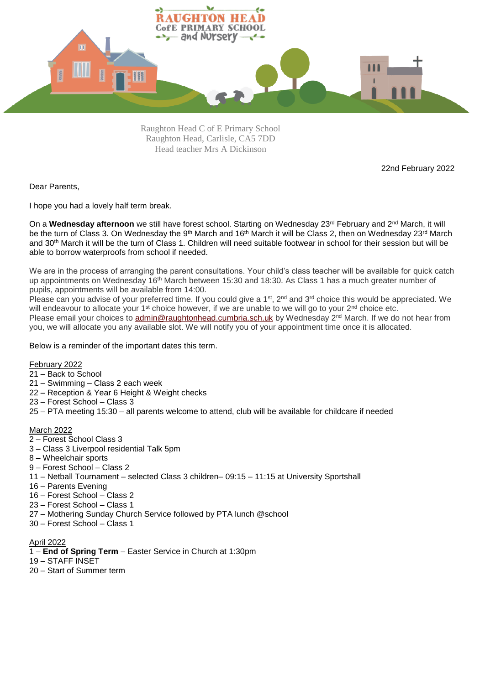

Raughton Head C of E Primary School Raughton Head, Carlisle, CA5 7DD Head teacher Mrs A Dickinson

22nd February 2022

Dear Parents,

I hope you had a lovely half term break.

On a Wednesday afternoon we still have forest school. Starting on Wednesday 23<sup>rd</sup> February and 2<sup>nd</sup> March, it will be the turn of Class 3. On Wednesday the 9<sup>th</sup> March and 16<sup>th</sup> March it will be Class 2, then on Wednesday 23<sup>rd</sup> March and 30th March it will be the turn of Class 1. Children will need suitable footwear in school for their session but will be able to borrow waterproofs from school if needed.

We are in the process of arranging the parent consultations. Your child's class teacher will be available for quick catch up appointments on Wednesday 16<sup>th</sup> March between 15:30 and 18:30. As Class 1 has a much greater number of pupils, appointments will be available from 14:00.

Please can you advise of your preferred time. If you could give a  $1<sup>st</sup>$ ,  $2<sup>nd</sup>$  and  $3<sup>rd</sup>$  choice this would be appreciated. We will endeavour to allocate your 1<sup>st</sup> choice however, if we are unable to we will go to your 2<sup>nd</sup> choice etc. Please email your choices to [admin@raughtonhead.cumbria.sch.uk](mailto:admin@raughtonhead.cumbria.sch.uk) by Wednesday 2<sup>nd</sup> March. If we do not hear from

you, we will allocate you any available slot. We will notify you of your appointment time once it is allocated.

Below is a reminder of the important dates this term.

February 2022

- 21 Back to School
- 21 Swimming Class 2 each week
- 22 Reception & Year 6 Height & Weight checks
- 23 Forest School Class 3
- 25 PTA meeting 15:30 all parents welcome to attend, club will be available for childcare if needed

## March 2022

- 2 Forest School Class 3
- 3 Class 3 Liverpool residential Talk 5pm
- 8 Wheelchair sports
- 9 Forest School Class 2
- 11 Netball Tournament selected Class 3 children– 09:15 11:15 at University Sportshall
- 16 Parents Evening
- 16 Forest School Class 2
- 23 Forest School Class 1
- 27 Mothering Sunday Church Service followed by PTA lunch @school
- 30 Forest School Class 1

April 2022

- 1 **End of Spring Term** Easter Service in Church at 1:30pm
- 19 STAFF INSET
- 20 Start of Summer term